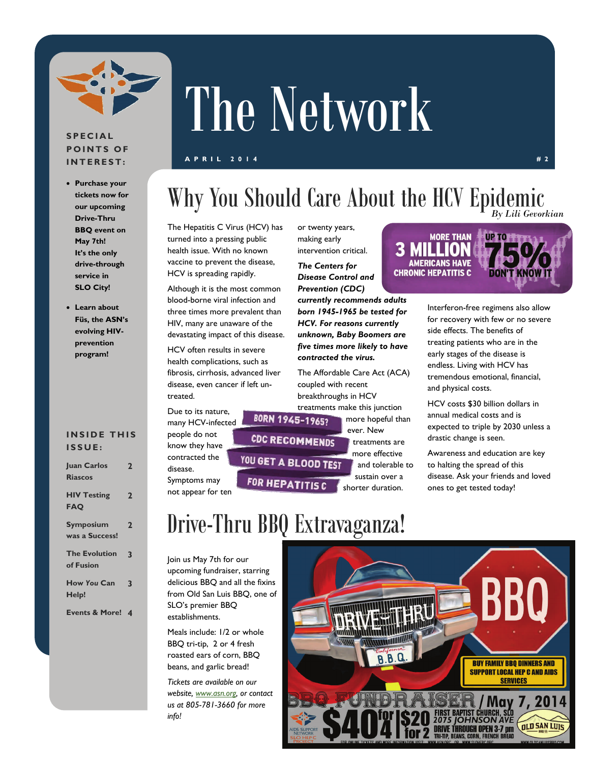

### **SPECIAL POINTS OF INTEREST:**

- **Purchase your tickets now for our upcoming Drive-Thru BBQ event on May 7th! It's the only drive-through service in SLO City!**
- **Learn about Füs, the ASN's evolving HIVprevention program!**

### **INSIDE THIS ISSUE:**

**Juan Carlos** 

| <b>Iuan Carlos</b><br><b>Riascos</b> | $\overline{2}$ |
|--------------------------------------|----------------|
| <b>HIV Testing</b><br><b>FAQ</b>     | $\mathbf 2$    |
| <b>Symposium</b><br>was a Success!   | 2              |
| <b>The Evolution</b><br>of Fusion    | 3              |
| <b>How You Can</b><br>Help!          | 3              |

#### **Events & More! 4**

# The Network

### **APRIL 2014 #2**

### Why You Should Care About the HCV Epidemic *By Lili Gevorkian*

The Hepatitis C Virus (HCV) has turned into a pressing public health issue. With no known vaccine to prevent the disease, HCV is spreading rapidly.

Although it is the most common blood-borne viral infection and three times more prevalent than HIV, many are unaware of the devastating impact of this disease.

HCV often results in severe health complications, such as fibrosis, cirrhosis, advanced liver disease, even cancer if left untreated.

Due to its nature, many HCV-infected people do not know they have contracted the disease. Symptoms may not appear for ten

or twenty years, making early intervention critical.

*The Centers for Disease Control and Prevention (CDC)* 

*currently recommends adults born 1945-1965 be tested for HCV. For reasons currently unknown, Baby Boomers are five times more likely to have contracted the virus.* 

The Affordable Care Act (ACA) coupled with recent breakthroughs in HCV

treatments make this junction<br>BORN 1945-19652 more hopeful the more hopeful than ever. New **CDC RECOMMENDS** treatments are more effective YOU GET A BLOOD TEST

and tolerable to sustain over a shorter duration.

#### UP TO TITTLA a **MORE THAN**

**AMERICANS HAVE CHRONIC HEPATITIS C** 

> Interferon-free regimens also allow for recovery with few or no severe side effects. The benefits of treating patients who are in the early stages of the disease is endless. Living with HCV has tremendous emotional, financial, and physical costs.

> HCV costs \$30 billion dollars in annual medical costs and is expected to triple by 2030 unless a drastic change is seen.

> Awareness and education are key to halting the spread of this disease. Ask your friends and loved ones to get tested today!

# Drive-Thru BBQ Extravaganza!

**FOR HEPATITIS C** 

Join us May 7th for our upcoming fundraiser, starring delicious BBQ and all the fixins from Old San Luis BBQ, one of SLO's premier BBQ establishments.

Meals include: 1/2 or whole BBQ tri-tip, 2 or 4 fresh roasted ears of corn, BBQ beans, and garlic bread!

*Tickets are available on our website, [www.asn.org](http://www.asn.org), or contact us at 805-781-3660 for more info!* 



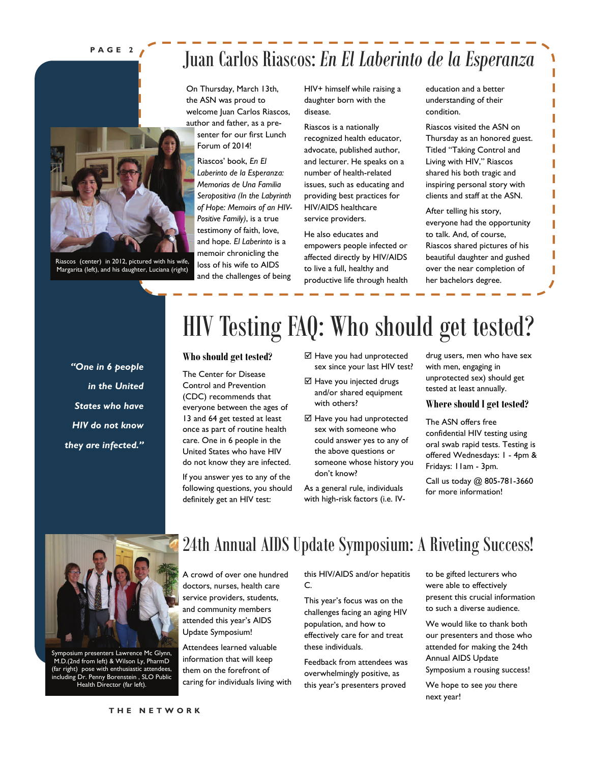### **PAGE 2**



Riascos (center) in 2012, pictured with his wife, Margarita (left), and his daughter, Luciana (right)

## Juan Carlos Riascos: *En El Laberinto de la Esperanza*

On Thursday, March 13th, the ASN was proud to welcome Juan Carlos Riascos, author and father, as a presenter for our first Lunch Forum of 2014!

Riascos' book, *En El Laberinto de la Esperanza: Memorias de Una Familia Seropositiva (In the Labyrinth of Hope: Memoirs of an HIV-Positive Family)*, is a true testimony of faith, love, and hope. *El Laberinto* is a memoir chronicling the loss of his wife to AIDS and the challenges of being

HIV+ himself while raising a daughter born with the disease.

Riascos is a nationally recognized health educator, advocate, published author, and lecturer. He speaks on a number of health-related issues, such as educating and providing best practices for HIV/AIDS healthcare service providers.

He also educates and empowers people infected or affected directly by HIV/AIDS to live a full, healthy and productive life through health education and a better understanding of their condition.

Riascos visited the ASN on Thursday as an honored guest. Titled "Taking Control and Living with HIV," Riascos shared his both tragic and inspiring personal story with clients and staff at the ASN.

After telling his story, everyone had the opportunity to talk. And, of course, Riascos shared pictures of his beautiful daughter and gushed over the near completion of her bachelors degree.

*"One in 6 people in the United States who have HIV do not know they are infected."* 

# HIV Testing FAQ: Who should get tested?

#### **Who should get tested?**

The Center for Disease Control and Prevention (CDC) recommends that everyone between the ages of 13 and 64 get tested at least once as part of routine health care. One in 6 people in the United States who have HIV do not know they are infected.

If you answer yes to any of the following questions, you should definitely get an HIV test:

- Have you had unprotected sex since your last HIV test?
- Have you injected drugs and/or shared equipment with others?
- Have you had unprotected sex with someone who could answer yes to any of the above questions or someone whose history you don't know?

As a general rule, individuals with high-risk factors (i.e. IV- drug users, men who have sex with men, engaging in unprotected sex) should get tested at least annually.

#### **Where should I get tested?**

The ASN offers free confidential HIV testing using oral swab rapid tests. Testing is offered Wednesdays: 1 - 4pm & Fridays: 11am - 3pm.

Call us today @ 805-781-3660 for more information!



Symposium presenters Lawrence Mc Glynn, M.D.(2nd from left) & Wilson Ly, PharmD (far right) pose with enthusiastic attendees, including Dr. Penny Borenstein , SLO Public Health Director (far left).

### 24th Annual AIDS Update Symposium: A Riveting Success!

A crowd of over one hundred doctors, nurses, health care service providers, students, and community members attended this year's AIDS Update Symposium!

Attendees learned valuable information that will keep them on the forefront of caring for individuals living with this HIV/AIDS and/or hepatitis C.

This year's focus was on the challenges facing an aging HIV population, and how to effectively care for and treat these individuals.

Feedback from attendees was overwhelmingly positive, as this year's presenters proved

to be gifted lecturers who were able to effectively present this crucial information to such a diverse audience.

We would like to thank both our presenters and those who attended for making the 24th Annual AIDS Update Symposium a rousing success!

We hope to see *you* there next year!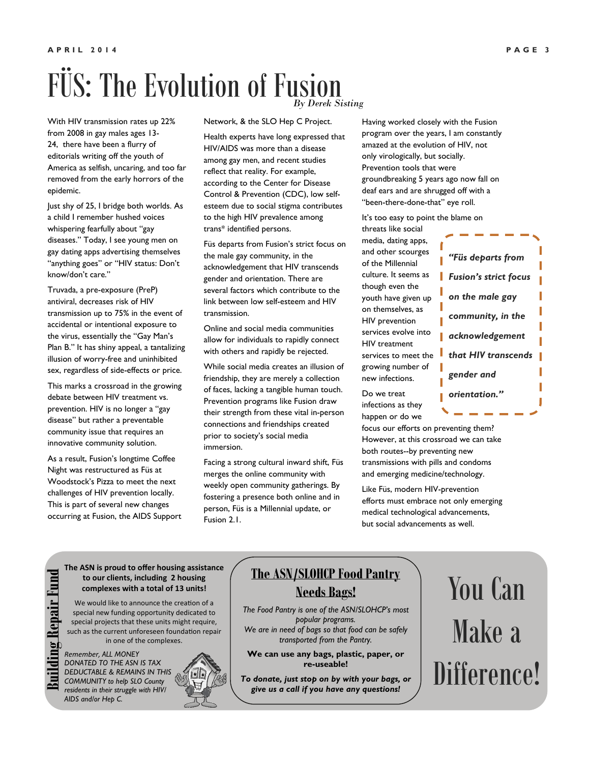### FÜS: The Evolution of Fusion *By Derek Sisting*

With HIV transmission rates up 22% from 2008 in gay males ages 13- 24, there have been a flurry of editorials writing off the youth of America as selfish, uncaring, and too far removed from the early horrors of the epidemic.

Just shy of 25, I bridge both worlds. As a child I remember hushed voices whispering fearfully about "gay diseases." Today, I see young men on gay dating apps advertising themselves "anything goes" or "HIV status: Don't know/don't care."

Truvada, a pre-exposure (PreP) antiviral, decreases risk of HIV transmission up to 75% in the event of accidental or intentional exposure to the virus, essentially the "Gay Man's Plan B." It has shiny appeal, a tantalizing illusion of worry-free and uninhibited sex, regardless of side-effects or price.

This marks a crossroad in the growing debate between HIV treatment vs. prevention. HIV is no longer a "gay disease" but rather a preventable community issue that requires an innovative community solution.

As a result, Fusion's longtime Coffee Night was restructured as Füs at Woodstock's Pizza to meet the next challenges of HIV prevention locally. This is part of several new changes occurring at Fusion, the AIDS Support

> *Remember, ALL MONEY DONATED TO THE ASN IS TAX DEDUCTABLE & REMAINS IN THIS COMMUNITY to help SLO County residents in their struggle with HIV/*

*AIDS and/or Hep C.* 

**The ASN is proud to offer housing assistance to our clients, including 2 housing complexes with a total of 13 units!**  We would like to announce the creation of a special new funding opportunity dedicated to special projects that these units might require, such as the current unforeseen foundation repair in one of the complexes.

Network, & the SLO Hep C Project.

Health experts have long expressed that HIV/AIDS was more than a disease among gay men, and recent studies reflect that reality. For example, according to the Center for Disease Control & Prevention (CDC), low selfesteem due to social stigma contributes to the high HIV prevalence among trans\* identified persons.

Füs departs from Fusion's strict focus on the male gay community, in the acknowledgement that HIV transcends gender and orientation. There are several factors which contribute to the link between low self-esteem and HIV transmission.

Online and social media communities allow for individuals to rapidly connect with others and rapidly be rejected.

While social media creates an illusion of friendship, they are merely a collection of faces, lacking a tangible human touch. Prevention programs like Fusion draw their strength from these vital in-person connections and friendships created prior to society's social media immersion.

Facing a strong cultural inward shift, Füs merges the online community with weekly open community gatherings. By fostering a presence both online and in person, Füs is a Millennial update, or

Having worked closely with the Fusion program over the years, I am constantly amazed at the evolution of HIV, not only virologically, but socially. Prevention tools that were groundbreaking 5 years ago now fall on deaf ears and are shrugged off with a "been-there-done-that" eye roll.

It's too easy to point the blame on

threats like social media, dating apps, and other scourges of the Millennial culture. It seems as though even the youth have given up on themselves, as HIV prevention services evolve into HIV treatment services to meet the growing number of new infections.

Do we treat infections as they happen or do we

focus our efforts on preventing them? However, at this crossroad we can take both routes--by preventing new transmissions with pills and condoms and emerging medicine/technology.

Like Füs, modern HIV-prevention efforts must embrace not only emerging medical technological advancements, but social advancements as well.

*Fusion's strict focus on the male gay community, in the acknowledgement*  ш *that HIV transcends gender and orientation."* 

*"Füs departs from* 

Fusion 2.1.

### **The ASN/SLOHCP Food Pantry Needs Bags!**

*The Food Pantry is one of the ASN/SLOHCP's most popular programs. We are in need of bags so that food can be safely transported from the Pantry.* 

**We can use any bags, plastic, paper, or re-useable!** 

*To donate, just stop on by with your bags, or give us a call if you have any questions!* 

# You Can Make a Difference!

**Building Repair Fund**